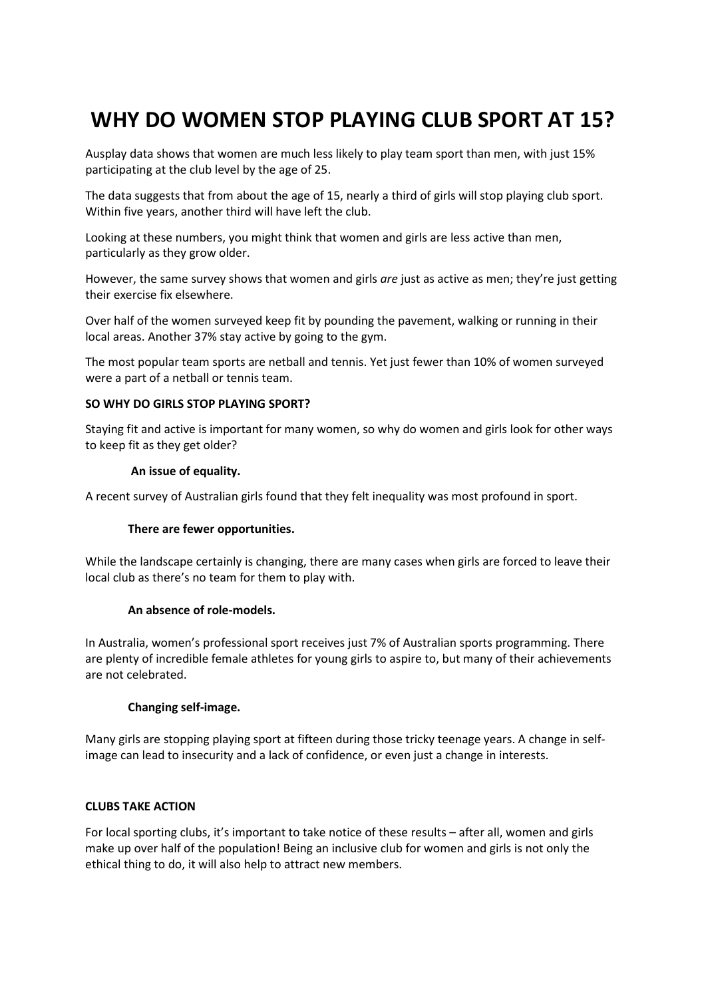# **WHY DO WOMEN STOP PLAYING CLUB SPORT AT 15?**

Ausplay data shows that women are much less likely to play team sport than men, with just 15% participating at the club level by the age of 25.

The data suggests that from about the age of 15, nearly a third of girls will stop playing club sport. Within five years, another third will have left the club.

Looking at these numbers, you might think that women and girls are less active than men, particularly as they grow older.

However, the same survey shows that women and girls *are* just as active as men; they're just getting their exercise fix elsewhere.

Over half of the women surveyed keep fit by pounding the pavement, walking or running in their local areas. Another 37% stay active by going to the gym.

The most popular team sports are netball and tennis. Yet just fewer than 10% of women surveyed were a part of a netball or tennis team.

#### **SO WHY DO GIRLS STOP PLAYING SPORT?**

Staying fit and active is important for many women, so why do women and girls look for other ways to keep fit as they get older?

#### **An issue of equality.**

A recent survey of Australian girls found that they felt inequality was most profound in sport.

# **There are fewer opportunities.**

While the landscape certainly is changing, there are many cases when girls are forced to leave their local club as there's no team for them to play with.

# **An absence of role-models.**

In Australia, women's professional sport receives just 7% of Australian sports programming. There are plenty of incredible female athletes for young girls to aspire to, but many of their achievements are not celebrated.

# **Changing self-image.**

Many girls are stopping playing sport at fifteen during those tricky teenage years. A change in selfimage can lead to insecurity and a lack of confidence, or even just a change in interests.

# **CLUBS TAKE ACTION**

For local sporting clubs, it's important to take notice of these results – after all, women and girls make up over half of the population! Being an inclusive club for women and girls is not only the ethical thing to do, it will also help to attract new members.